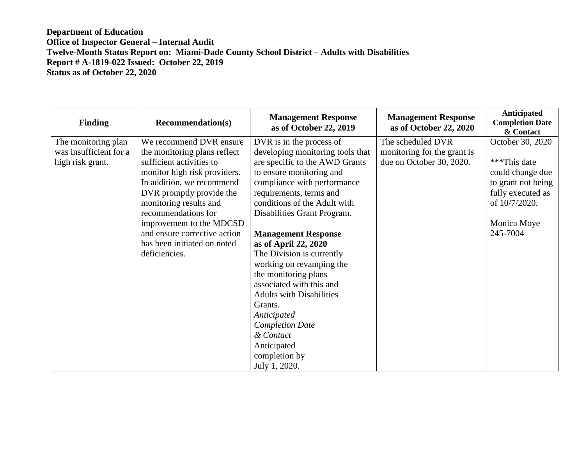| <b>Finding</b>         | <b>Recommendation(s)</b>     | <b>Management Response</b><br>as of October 22, 2019 | <b>Management Response</b><br>as of October 22, 2020 | <b>Anticipated</b><br><b>Completion Date</b><br>& Contact |
|------------------------|------------------------------|------------------------------------------------------|------------------------------------------------------|-----------------------------------------------------------|
| The monitoring plan    | We recommend DVR ensure      | DVR is in the process of                             | The scheduled DVR                                    | October 30, 2020                                          |
| was insufficient for a | the monitoring plans reflect | developing monitoring tools that                     | monitoring for the grant is                          |                                                           |
| high risk grant.       | sufficient activities to     | are specific to the AWD Grants                       | due on October 30, 2020.                             | ***This date                                              |
|                        | monitor high risk providers. | to ensure monitoring and                             |                                                      | could change due                                          |
|                        | In addition, we recommend    | compliance with performance                          |                                                      | to grant not being                                        |
|                        | DVR promptly provide the     | requirements, terms and                              |                                                      | fully executed as                                         |
|                        | monitoring results and       | conditions of the Adult with                         |                                                      | of 10/7/2020.                                             |
|                        | recommendations for          | Disabilities Grant Program.                          |                                                      |                                                           |
|                        | improvement to the MDCSD     |                                                      |                                                      | Monica Moye                                               |
|                        | and ensure corrective action | <b>Management Response</b>                           |                                                      | 245-7004                                                  |
|                        | has been initiated on noted  | as of April 22, 2020                                 |                                                      |                                                           |
|                        | deficiencies.                | The Division is currently                            |                                                      |                                                           |
|                        |                              | working on revamping the                             |                                                      |                                                           |
|                        |                              | the monitoring plans                                 |                                                      |                                                           |
|                        |                              | associated with this and                             |                                                      |                                                           |
|                        |                              | <b>Adults with Disabilities</b>                      |                                                      |                                                           |
|                        |                              | Grants.                                              |                                                      |                                                           |
|                        |                              | Anticipated                                          |                                                      |                                                           |
|                        |                              | <b>Completion Date</b>                               |                                                      |                                                           |
|                        |                              | & Contact                                            |                                                      |                                                           |
|                        |                              | Anticipated                                          |                                                      |                                                           |
|                        |                              | completion by                                        |                                                      |                                                           |
|                        |                              | July 1, 2020.                                        |                                                      |                                                           |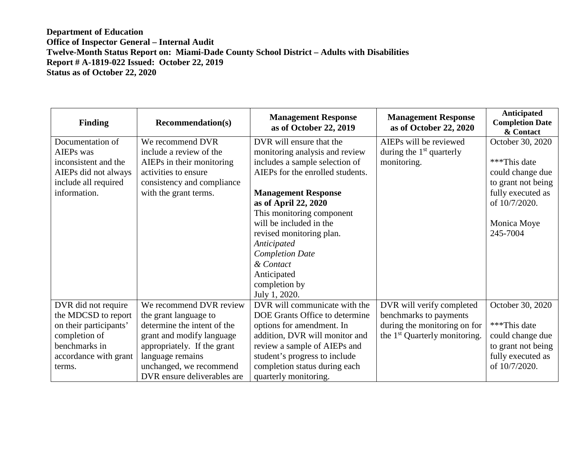| <b>Finding</b>         | <b>Recommendation(s)</b>    | <b>Management Response</b><br>as of October 22, 2019 | <b>Management Response</b><br>as of October 22, 2020 | Anticipated<br><b>Completion Date</b><br>& Contact |
|------------------------|-----------------------------|------------------------------------------------------|------------------------------------------------------|----------------------------------------------------|
| Documentation of       | We recommend DVR            | DVR will ensure that the                             | AIEPs will be reviewed                               | October 30, 2020                                   |
| <b>AIEPs</b> was       | include a review of the     | monitoring analysis and review                       | during the $1st$ quarterly                           |                                                    |
| inconsistent and the   | AIEPs in their monitoring   | includes a sample selection of                       | monitoring.                                          | ***This date                                       |
| AIEPs did not always   | activities to ensure        | AIEPs for the enrolled students.                     |                                                      | could change due                                   |
| include all required   | consistency and compliance  |                                                      |                                                      | to grant not being                                 |
| information.           | with the grant terms.       | <b>Management Response</b>                           |                                                      | fully executed as                                  |
|                        |                             | as of April 22, 2020                                 |                                                      | of 10/7/2020.                                      |
|                        |                             | This monitoring component                            |                                                      |                                                    |
|                        |                             | will be included in the                              |                                                      | Monica Moye                                        |
|                        |                             | revised monitoring plan.                             |                                                      | 245-7004                                           |
|                        |                             | Anticipated                                          |                                                      |                                                    |
|                        |                             | <b>Completion Date</b>                               |                                                      |                                                    |
|                        |                             | & Contact                                            |                                                      |                                                    |
|                        |                             | Anticipated                                          |                                                      |                                                    |
|                        |                             | completion by                                        |                                                      |                                                    |
|                        |                             | July 1, 2020.                                        |                                                      |                                                    |
| DVR did not require    | We recommend DVR review     | DVR will communicate with the                        | DVR will verify completed                            | October 30, 2020                                   |
| the MDCSD to report    | the grant language to       | DOE Grants Office to determine                       | benchmarks to payments                               |                                                    |
| on their participants' | determine the intent of the | options for amendment. In                            | during the monitoring on for                         | ***This date                                       |
| completion of          | grant and modify language   | addition, DVR will monitor and                       | the 1 <sup>st</sup> Quarterly monitoring.            | could change due                                   |
| benchmarks in          | appropriately. If the grant | review a sample of AIEPs and                         |                                                      | to grant not being                                 |
| accordance with grant  | language remains            | student's progress to include                        |                                                      | fully executed as                                  |
| terms.                 | unchanged, we recommend     | completion status during each                        |                                                      | of 10/7/2020.                                      |
|                        | DVR ensure deliverables are | quarterly monitoring.                                |                                                      |                                                    |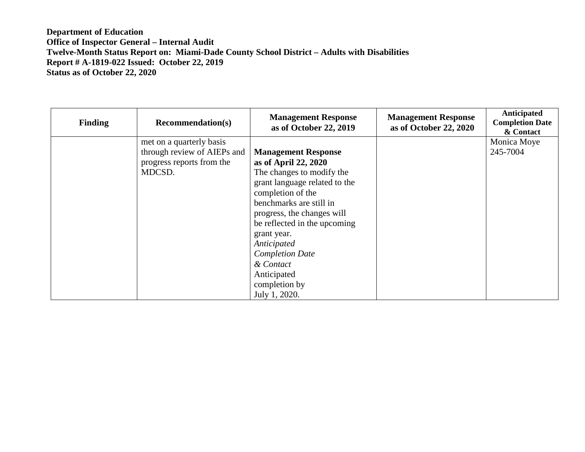| <b>Finding</b> | <b>Recommendation(s)</b>                                                                       | <b>Management Response</b><br>as of October 22, 2019                                                                                                                                                                                                                                                                                                 | <b>Management Response</b><br>as of October 22, 2020 | Anticipated<br><b>Completion Date</b><br>& Contact |
|----------------|------------------------------------------------------------------------------------------------|------------------------------------------------------------------------------------------------------------------------------------------------------------------------------------------------------------------------------------------------------------------------------------------------------------------------------------------------------|------------------------------------------------------|----------------------------------------------------|
|                | met on a quarterly basis<br>through review of AIEPs and<br>progress reports from the<br>MDCSD. | <b>Management Response</b><br>as of April 22, 2020<br>The changes to modify the<br>grant language related to the<br>completion of the<br>benchmarks are still in<br>progress, the changes will<br>be reflected in the upcoming<br>grant year.<br>Anticipated<br><b>Completion Date</b><br>& Contact<br>Anticipated<br>completion by<br>July 1, 2020. |                                                      | Monica Moye<br>245-7004                            |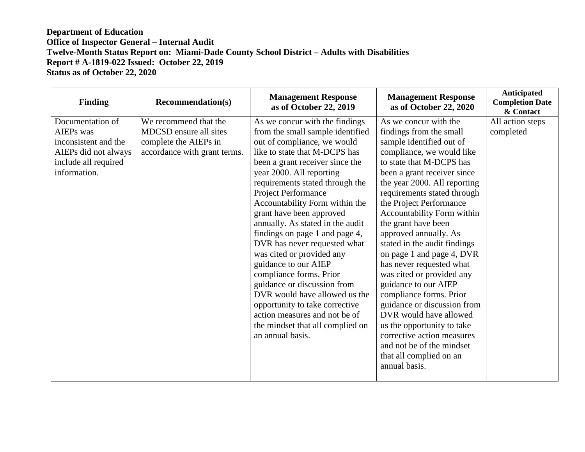| <b>Finding</b>                                                                                                        | <b>Recommendation(s)</b>                                                                                 | <b>Management Response</b><br>as of October 22, 2019                                                                                                                                                                                                                                                                                                                                                                                                                                                                                                                                                                                                                                                              | <b>Management Response</b><br>as of October 22, 2020                                                                                                                                                                                                                                                                                                                                                                                                                                                                                                                                                                                                                                                                | <b>Anticipated</b><br><b>Completion Date</b><br>& Contact |
|-----------------------------------------------------------------------------------------------------------------------|----------------------------------------------------------------------------------------------------------|-------------------------------------------------------------------------------------------------------------------------------------------------------------------------------------------------------------------------------------------------------------------------------------------------------------------------------------------------------------------------------------------------------------------------------------------------------------------------------------------------------------------------------------------------------------------------------------------------------------------------------------------------------------------------------------------------------------------|---------------------------------------------------------------------------------------------------------------------------------------------------------------------------------------------------------------------------------------------------------------------------------------------------------------------------------------------------------------------------------------------------------------------------------------------------------------------------------------------------------------------------------------------------------------------------------------------------------------------------------------------------------------------------------------------------------------------|-----------------------------------------------------------|
| Documentation of<br>AIEPs was<br>inconsistent and the<br>AIEPs did not always<br>include all required<br>information. | We recommend that the<br>MDCSD ensure all sites<br>complete the AIEPs in<br>accordance with grant terms. | As we concur with the findings<br>from the small sample identified<br>out of compliance, we would<br>like to state that M-DCPS has<br>been a grant receiver since the<br>year 2000. All reporting<br>requirements stated through the<br><b>Project Performance</b><br>Accountability Form within the<br>grant have been approved<br>annually. As stated in the audit<br>findings on page 1 and page 4,<br>DVR has never requested what<br>was cited or provided any<br>guidance to our AIEP<br>compliance forms. Prior<br>guidance or discussion from<br>DVR would have allowed us the<br>opportunity to take corrective<br>action measures and not be of<br>the mindset that all complied on<br>an annual basis. | As we concur with the<br>findings from the small<br>sample identified out of<br>compliance, we would like<br>to state that M-DCPS has<br>been a grant receiver since<br>the year 2000. All reporting<br>requirements stated through<br>the Project Performance<br>Accountability Form within<br>the grant have been<br>approved annually. As<br>stated in the audit findings<br>on page 1 and page 4, DVR<br>has never requested what<br>was cited or provided any<br>guidance to our AIEP<br>compliance forms. Prior<br>guidance or discussion from<br>DVR would have allowed<br>us the opportunity to take<br>corrective action measures<br>and not be of the mindset<br>that all complied on an<br>annual basis. | All action steps<br>completed                             |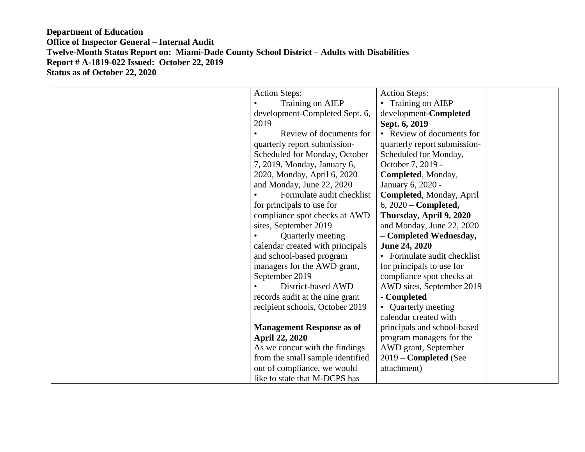| <b>Action Steps:</b>             | <b>Action Steps:</b>         |
|----------------------------------|------------------------------|
| Training on AIEP                 | • Training on AIEP           |
| development-Completed Sept. 6,   | development-Completed        |
| 2019                             | Sept. 6, 2019                |
| Review of documents for          | • Review of documents for    |
| quarterly report submission-     | quarterly report submission- |
| Scheduled for Monday, October    | Scheduled for Monday,        |
| 7, 2019, Monday, January 6,      | October 7, 2019 -            |
| 2020, Monday, April 6, 2020      | Completed, Monday,           |
| and Monday, June 22, 2020        | January 6, 2020 -            |
| Formulate audit checklist        | Completed, Monday, April     |
| for principals to use for        | $6, 2020$ – Completed,       |
| compliance spot checks at AWD    | Thursday, April 9, 2020      |
| sites, September 2019            | and Monday, June 22, 2020    |
| Quarterly meeting                | - Completed Wednesday,       |
| calendar created with principals | <b>June 24, 2020</b>         |
| and school-based program         | • Formulate audit checklist  |
| managers for the AWD grant,      | for principals to use for    |
| September 2019                   | compliance spot checks at    |
| District-based AWD               | AWD sites, September 2019    |
| records audit at the nine grant  | - Completed                  |
| recipient schools, October 2019  | • Quarterly meeting          |
|                                  | calendar created with        |
| <b>Management Response as of</b> | principals and school-based  |
| <b>April 22, 2020</b>            | program managers for the     |
| As we concur with the findings   | AWD grant, September         |
| from the small sample identified | 2019 – Completed (See        |
| out of compliance, we would      | attachment)                  |
| like to state that M-DCPS has    |                              |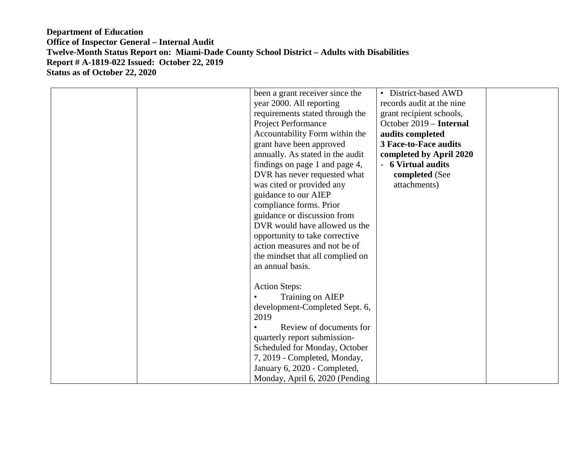| been a grant receiver since the  | • District-based AWD         |  |
|----------------------------------|------------------------------|--|
| year 2000. All reporting         | records audit at the nine    |  |
| requirements stated through the  | grant recipient schools,     |  |
| Project Performance              | October 2019 - Internal      |  |
| Accountability Form within the   | audits completed             |  |
| grant have been approved         | <b>3 Face-to-Face audits</b> |  |
| annually. As stated in the audit | completed by April 2020      |  |
| findings on page 1 and page 4,   | - 6 Virtual audits           |  |
| DVR has never requested what     | completed (See               |  |
| was cited or provided any        | attachments)                 |  |
| guidance to our AIEP             |                              |  |
| compliance forms. Prior          |                              |  |
| guidance or discussion from      |                              |  |
| DVR would have allowed us the    |                              |  |
|                                  |                              |  |
| opportunity to take corrective   |                              |  |
| action measures and not be of    |                              |  |
| the mindset that all complied on |                              |  |
| an annual basis.                 |                              |  |
|                                  |                              |  |
| <b>Action Steps:</b>             |                              |  |
| Training on AIEP                 |                              |  |
| development-Completed Sept. 6,   |                              |  |
| 2019                             |                              |  |
| Review of documents for          |                              |  |
| quarterly report submission-     |                              |  |
| Scheduled for Monday, October    |                              |  |
| 7, 2019 - Completed, Monday,     |                              |  |
| January 6, 2020 - Completed,     |                              |  |
| Monday, April 6, 2020 (Pending   |                              |  |
|                                  |                              |  |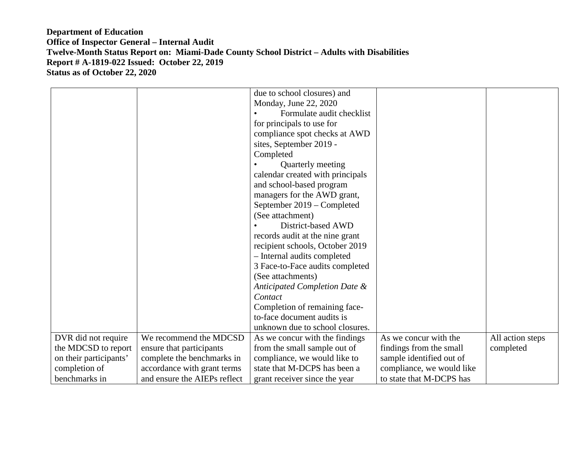|                        |                              | due to school closures) and      |                           |                  |
|------------------------|------------------------------|----------------------------------|---------------------------|------------------|
|                        |                              | Monday, June 22, 2020            |                           |                  |
|                        |                              | Formulate audit checklist        |                           |                  |
|                        |                              | for principals to use for        |                           |                  |
|                        |                              | compliance spot checks at AWD    |                           |                  |
|                        |                              | sites, September 2019 -          |                           |                  |
|                        |                              | Completed                        |                           |                  |
|                        |                              | Quarterly meeting                |                           |                  |
|                        |                              | calendar created with principals |                           |                  |
|                        |                              | and school-based program         |                           |                  |
|                        |                              | managers for the AWD grant,      |                           |                  |
|                        |                              | September 2019 – Completed       |                           |                  |
|                        |                              | (See attachment)                 |                           |                  |
|                        |                              | District-based AWD               |                           |                  |
|                        |                              | records audit at the nine grant  |                           |                  |
|                        |                              | recipient schools, October 2019  |                           |                  |
|                        |                              | - Internal audits completed      |                           |                  |
|                        |                              | 3 Face-to-Face audits completed  |                           |                  |
|                        |                              | (See attachments)                |                           |                  |
|                        |                              | Anticipated Completion Date &    |                           |                  |
|                        |                              | Contact                          |                           |                  |
|                        |                              | Completion of remaining face-    |                           |                  |
|                        |                              | to-face document audits is       |                           |                  |
|                        |                              | unknown due to school closures.  |                           |                  |
| DVR did not require    | We recommend the MDCSD       | As we concur with the findings   | As we concur with the     | All action steps |
| the MDCSD to report    | ensure that participants     | from the small sample out of     | findings from the small   | completed        |
| on their participants' | complete the benchmarks in   | compliance, we would like to     | sample identified out of  |                  |
| completion of          | accordance with grant terms  | state that M-DCPS has been a     | compliance, we would like |                  |
| benchmarks in          | and ensure the AIEPs reflect | grant receiver since the year    | to state that M-DCPS has  |                  |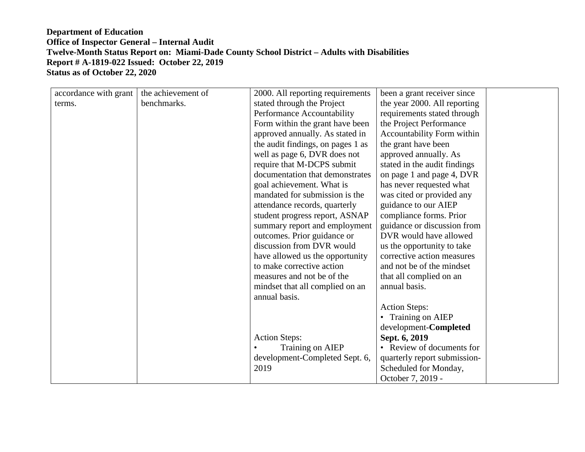| accordance with grant | the achievement of | 2000. All reporting requirements  | been a grant receiver since  |  |
|-----------------------|--------------------|-----------------------------------|------------------------------|--|
| terms.                | benchmarks.        | stated through the Project        | the year 2000. All reporting |  |
|                       |                    | Performance Accountability        | requirements stated through  |  |
|                       |                    | Form within the grant have been   | the Project Performance      |  |
|                       |                    | approved annually. As stated in   | Accountability Form within   |  |
|                       |                    | the audit findings, on pages 1 as | the grant have been          |  |
|                       |                    | well as page 6, DVR does not      | approved annually. As        |  |
|                       |                    | require that M-DCPS submit        | stated in the audit findings |  |
|                       |                    | documentation that demonstrates   | on page 1 and page 4, DVR    |  |
|                       |                    | goal achievement. What is         | has never requested what     |  |
|                       |                    | mandated for submission is the    | was cited or provided any    |  |
|                       |                    | attendance records, quarterly     | guidance to our AIEP         |  |
|                       |                    | student progress report, ASNAP    | compliance forms. Prior      |  |
|                       |                    | summary report and employment     | guidance or discussion from  |  |
|                       |                    | outcomes. Prior guidance or       | DVR would have allowed       |  |
|                       |                    | discussion from DVR would         | us the opportunity to take   |  |
|                       |                    | have allowed us the opportunity   | corrective action measures   |  |
|                       |                    | to make corrective action         | and not be of the mindset    |  |
|                       |                    | measures and not be of the        | that all complied on an      |  |
|                       |                    | mindset that all complied on an   | annual basis.                |  |
|                       |                    | annual basis.                     |                              |  |
|                       |                    |                                   | <b>Action Steps:</b>         |  |
|                       |                    |                                   | • Training on AIEP           |  |
|                       |                    |                                   | development-Completed        |  |
|                       |                    | <b>Action Steps:</b>              | Sept. 6, 2019                |  |
|                       |                    | Training on AIEP                  | • Review of documents for    |  |
|                       |                    | development-Completed Sept. 6,    | quarterly report submission- |  |
|                       |                    | 2019                              | Scheduled for Monday,        |  |
|                       |                    |                                   | October 7, 2019 -            |  |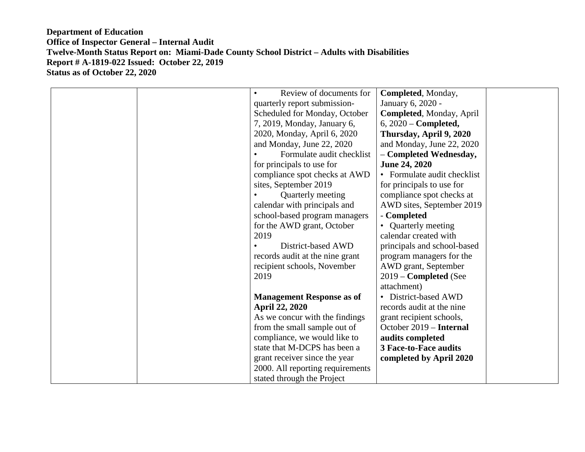| Review of documents for          | Completed, Monday,           |
|----------------------------------|------------------------------|
| quarterly report submission-     | January 6, 2020 -            |
| Scheduled for Monday, October    | Completed, Monday, April     |
| 7, 2019, Monday, January 6,      | $6, 2020$ – Completed,       |
| 2020, Monday, April 6, 2020      | Thursday, April 9, 2020      |
| and Monday, June 22, 2020        | and Monday, June 22, 2020    |
| Formulate audit checklist        | - Completed Wednesday,       |
| for principals to use for        | <b>June 24, 2020</b>         |
| compliance spot checks at AWD    | • Formulate audit checklist  |
| sites, September 2019            | for principals to use for    |
| Quarterly meeting                | compliance spot checks at    |
| calendar with principals and     | AWD sites, September 2019    |
| school-based program managers    | - Completed                  |
| for the AWD grant, October       | • Quarterly meeting          |
| 2019                             | calendar created with        |
| District-based AWD               | principals and school-based  |
| records audit at the nine grant  | program managers for the     |
| recipient schools, November      | AWD grant, September         |
| 2019                             | 2019 - Completed (See        |
|                                  | attachment)                  |
| <b>Management Response as of</b> | • District-based AWD         |
| <b>April 22, 2020</b>            | records audit at the nine    |
| As we concur with the findings   | grant recipient schools,     |
| from the small sample out of     | October 2019 - Internal      |
| compliance, we would like to     | audits completed             |
| state that M-DCPS has been a     | <b>3 Face-to-Face audits</b> |
| grant receiver since the year    | completed by April 2020      |
| 2000. All reporting requirements |                              |
| stated through the Project       |                              |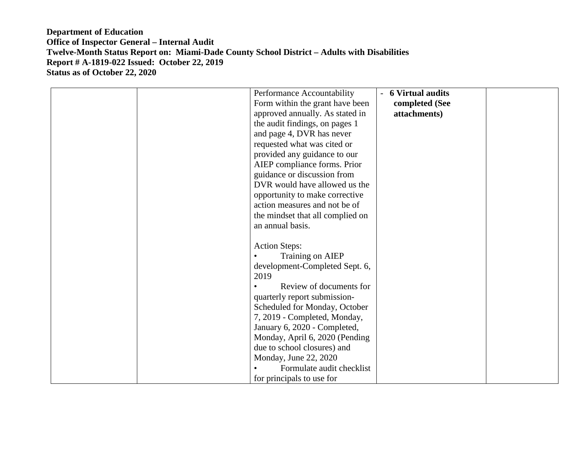| Performance Accountability       | - 6 Virtual audits |  |
|----------------------------------|--------------------|--|
| Form within the grant have been  | completed (See     |  |
| approved annually. As stated in  | attachments)       |  |
|                                  |                    |  |
| the audit findings, on pages 1   |                    |  |
| and page 4, DVR has never        |                    |  |
| requested what was cited or      |                    |  |
| provided any guidance to our     |                    |  |
| AIEP compliance forms. Prior     |                    |  |
| guidance or discussion from      |                    |  |
| DVR would have allowed us the    |                    |  |
| opportunity to make corrective   |                    |  |
| action measures and not be of    |                    |  |
| the mindset that all complied on |                    |  |
| an annual basis.                 |                    |  |
|                                  |                    |  |
| <b>Action Steps:</b>             |                    |  |
| Training on AIEP                 |                    |  |
| development-Completed Sept. 6,   |                    |  |
| 2019                             |                    |  |
|                                  |                    |  |
| Review of documents for          |                    |  |
| quarterly report submission-     |                    |  |
| Scheduled for Monday, October    |                    |  |
| 7, 2019 - Completed, Monday,     |                    |  |
| January 6, 2020 - Completed,     |                    |  |
| Monday, April 6, 2020 (Pending   |                    |  |
| due to school closures) and      |                    |  |
| Monday, June 22, 2020            |                    |  |
| Formulate audit checklist        |                    |  |
| for principals to use for        |                    |  |